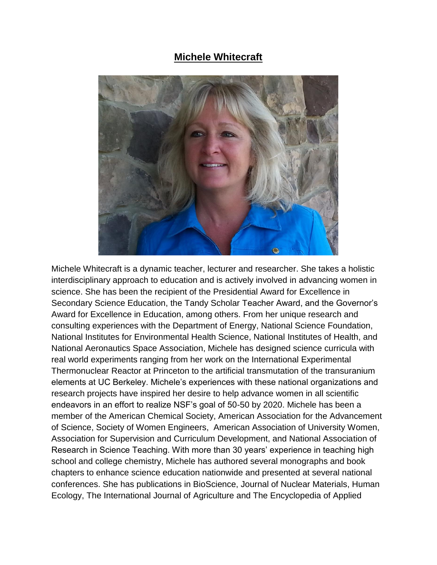## **Michele Whitecraft**



Michele Whitecraft is a dynamic teacher, lecturer and researcher. She takes a holistic interdisciplinary approach to education and is actively involved in advancing women in science. She has been the recipient of the Presidential Award for Excellence in Secondary Science Education, the Tandy Scholar Teacher Award, and the Governor's Award for Excellence in Education, among others. From her unique research and consulting experiences with the Department of Energy, National Science Foundation, National Institutes for Environmental Health Science, National Institutes of Health, and National Aeronautics Space Association, Michele has designed science curricula with real world experiments ranging from her work on the International Experimental Thermonuclear Reactor at Princeton to the artificial transmutation of the transuranium elements at UC Berkeley. Michele's experiences with these national organizations and research projects have inspired her desire to help advance women in all scientific endeavors in an effort to realize NSF's goal of 50-50 by 2020. Michele has been a member of the American Chemical Society, American Association for the Advancement of Science, Society of Women Engineers, American Association of University Women, Association for Supervision and Curriculum Development, and National Association of Research in Science Teaching. With more than 30 years' experience in teaching high school and college chemistry, Michele has authored several monographs and book chapters to enhance science education nationwide and presented at several national conferences. She has publications in BioScience, Journal of Nuclear Materials, Human Ecology, The International Journal of Agriculture and The Encyclopedia of Applied